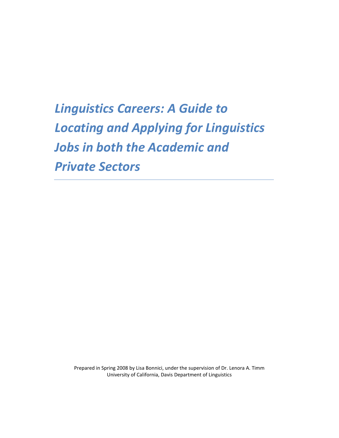# *Linguistics Careers: A Guide to Locating and Applying for Linguistics Jobs in both the Academic and Private Sectors*

Prepared in Spring 2008 by Lisa Bonnici, under the supervision of Dr. Lenora A. Timm University of California, Davis Department of Linguistics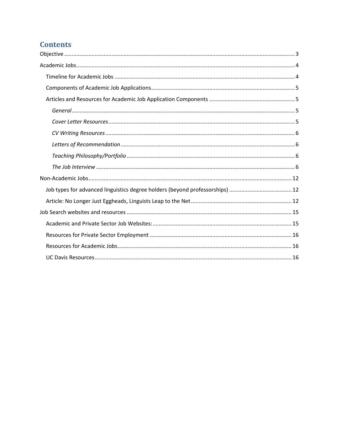# **Contents**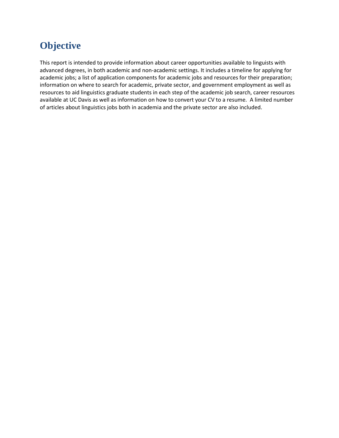# <span id="page-2-0"></span>**Objective**

This report is intended to provide information about career opportunities available to linguists with advanced degrees, in both academic and non-academic settings. It includes a timeline for applying for academic jobs; a list of application components for academic jobs and resources for their preparation; information on where to search for academic, private sector, and government employment as well as resources to aid linguistics graduate students in each step of the academic job search, career resources available at UC Davis as well as information on how to convert your CV to a resume. A limited number of articles about linguistics jobs both in academia and the private sector are also included.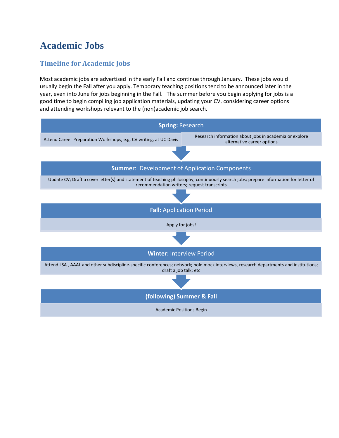# <span id="page-3-0"></span>**Academic Jobs**

# <span id="page-3-1"></span>**Timeline for Academic Jobs**

Most academic jobs are advertised in the early Fall and continue through January. These jobs would usually begin the Fall after you apply. Temporary teaching positions tend to be announced later in the year, even into June for jobs beginning in the Fall. The summer before you begin applying for jobs is a good time to begin compiling job application materials, updating your CV, considering career options and attending workshops relevant to the (non)academic job search.

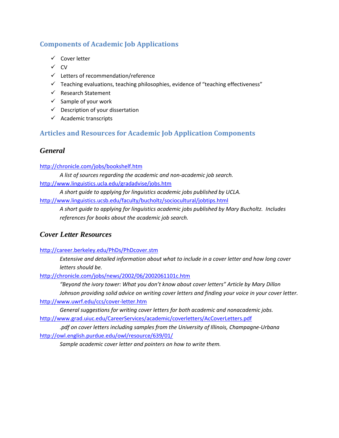# <span id="page-4-0"></span>**Components of Academic Job Applications**

- $\checkmark$  Cover letter
- $\checkmark$  CV
- $\checkmark$  Letters of recommendation/reference
- $\checkmark$  Teaching evaluations, teaching philosophies, evidence of "teaching effectiveness"
- $\checkmark$  Research Statement
- $\checkmark$  Sample of your work
- $\checkmark$  Description of your dissertation
- $\checkmark$  Academic transcripts

# <span id="page-4-1"></span>**Articles and Resources for Academic Job Application Components**

## <span id="page-4-2"></span>*General*

#### <http://chronicle.com/jobs/bookshelf.htm>

*A list of sources regarding the academic and non-academic job search.* <http://www.linguistics.ucla.edu/gradadvise/jobs.htm>

*A short guide to applying for linguistics academic jobs published by UCLA.*

<http://www.linguistics.ucsb.edu/faculty/bucholtz/sociocultural/jobtips.html>

*A short guide to applying for linguistics academic jobs published by Mary Bucholtz. Includes references for books about the academic job search.*

# <span id="page-4-3"></span>*Cover Letter Resources*

<http://career.berkeley.edu/PhDs/PhDcover.stm>

*Extensive and detailed information about what to include in a cover letter and how long cover letters should be.*

<http://chronicle.com/jobs/news/2002/06/2002061101c.htm>

*"Beyond the ivory tower: What you don't know about cover letters" Article by Mary Dillon Johnson providing solid advice on writing cover letters and finding your voice in your cover letter.* <http://www.uwrf.edu/ccs/cover-letter.htm>

*General suggestions for writing cover letters for both academic and nonacademic jobs.*  <http://www.grad.uiuc.edu/CareerServices/academic/coverletters/AcCoverLetters.pdf>

*.pdf on cover letters including samples from the University of Illinois, Champagne-Urbana* <http://owl.english.purdue.edu/owl/resource/639/01/>

*Sample academic cover letter and pointers on how to write them.*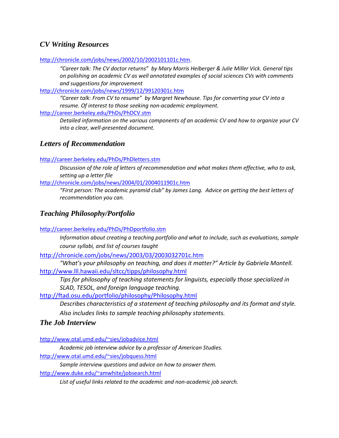# <span id="page-5-0"></span>*CV Writing Resources*

[http://chronicle.com/jobs/news/2002/10/2002101101c.htm.](http://chronicle.com/jobs/news/2002/10/2002101101c.htm)

*"Career talk: The CV doctor returns" by Mary Morris Heiberger & Julie Miller Vick. General tips on polishing an academic CV as well annotated examples of social sciences CVs with comments and suggestions for improvement*

<http://chronicle.com/jobs/news/1999/12/99120301c.htm>

*"Career talk: From CV to resume" by Margret Newhouse. Tips for converting your CV into a resume. Of interest to those seeking non-academic employment.*

<http://career.berkeley.edu/PhDs/PhDCV.stm>

*Detailed information on the various components of an academic CV and how to organize your CV into a clear, well-presented document.*

#### <span id="page-5-1"></span>*Letters of Recommendation*

<http://career.berkeley.edu/PhDs/PhDletters.stm>

*Discussion of the role of letters of recommendation and what makes them effective, who to ask, setting up a letter file*

<http://chronicle.com/jobs/news/2004/01/2004011901c.htm>

*"First person: The academic pyramid club" by James Lang. Advice on getting the best letters of recommendation you can.*

## <span id="page-5-2"></span>*Teaching Philosophy/Portfolio*

<http://career.berkeley.edu/PhDs/PhDportfolio.stm>

*Information about creating a teaching portfolio and what to include, such as evaluations, sample course syllabi, and list of courses taught*

<http://chronicle.com/jobs/news/2003/03/2003032701c.htm>

*"What's your philosophy on teaching, and does it matter?" Article by Gabriela Montell.* <http://www.lll.hawaii.edu/sltcc/tipps/philosophy.html>

*Tips for philosophy of teaching statements for linguists, especially those specialized in SLAD, TESOL, and foreign language teaching.*

<http://ftad.osu.edu/portfolio/philosophy/Philosophy.html>

*Describes characteristics of a statement of teaching philosophy and its format and style. Also includes links to sample teaching philosophy statements.*

#### <span id="page-5-3"></span>*The Job Interview*

<http://www.otal.umd.edu/~sies/jobadvice.html>

*Academic job interview advice by a professor of American Studies.*

<http://www.otal.umd.edu/~sies/jobquess.html>

*Sample interview questions and advice on how to answer them.*

<http://www.duke.edu/~amwhite/jobsearch.html>

*List of useful links related to the academic and non-academic job search.*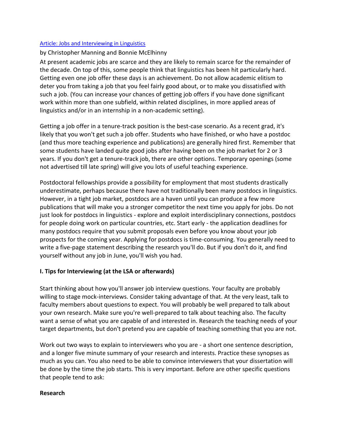#### Article: Jobs and Interviewing in Linguistics

#### by Christopher Manning and Bonnie McElhinny

At present academic jobs are scarce and they are likely to remain scarce for the remainder of the decade. On top of this, some people think that linguistics has been hit particularly hard. Getting even one job offer these days is an achievement. Do not allow academic elitism to deter you from taking a job that you feel fairly good about, or to make you dissatisfied with such a job. (You can increase your chances of getting job offers if you have done significant work within more than one subfield, within related disciplines, in more applied areas of linguistics and/or in an internship in a non-academic setting).

Getting a job offer in a tenure-track position is the best-case scenario. As a recent grad, it's likely that you won't get such a job offer. Students who have finished, or who have a postdoc (and thus more teaching experience and publications) are generally hired first. Remember that some students have landed quite good jobs after having been on the job market for 2 or 3 years. If you don't get a tenure-track job, there are other options. Temporary openings (some not advertised till late spring) will give you lots of useful teaching experience.

Postdoctoral fellowships provide a possibility for employment that most students drastically underestimate, perhaps because there have not traditionally been many postdocs in linguistics. However, in a tight job market, postdocs are a haven until you can produce a few more publications that will make you a stronger competitor the next time you apply for jobs. Do not just look for postdocs in linguistics - explore and exploit interdisciplinary connections, postdocs for people doing work on particular countries, etc. Start early - the application deadlines for many postdocs require that you submit proposals even before you know about your job prospects for the coming year. Applying for postdocs is time-consuming. You generally need to write a five-page statement describing the research you'll do. But if you don't do it, and find yourself without any job in June, you'll wish you had.

#### **I. Tips for Interviewing (at the LSA or afterwards)**

Start thinking about how you'll answer job interview questions. Your faculty are probably willing to stage mock-interviews. Consider taking advantage of that. At the very least, talk to faculty members about questions to expect. You will probably be well prepared to talk about your own research. Make sure you're well-prepared to talk about teaching also. The faculty want a sense of what you are capable of and interested in. Research the teaching needs of your target departments, but don't pretend you are capable of teaching something that you are not.

Work out two ways to explain to interviewers who you are - a short one sentence description, and a longer five minute summary of your research and interests. Practice these synopses as much as you can. You also need to be able to convince interviewers that your dissertation will be done by the time the job starts. This is very important. Before are other specific questions that people tend to ask:

#### **Research**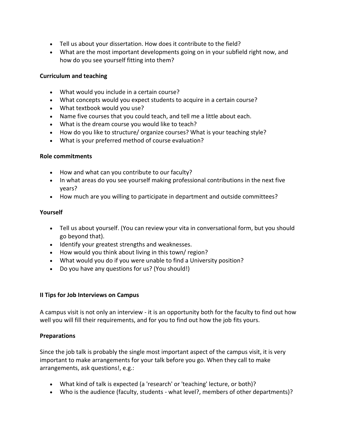- Tell us about your dissertation. How does it contribute to the field?
- What are the most important developments going on in your subfield right now, and how do you see yourself fitting into them?

#### **Curriculum and teaching**

- What would you include in a certain course?
- What concepts would you expect students to acquire in a certain course?
- What textbook would you use?
- Name five courses that you could teach, and tell me a little about each.
- What is the dream course you would like to teach?
- How do you like to structure/ organize courses? What is your teaching style?
- What is your preferred method of course evaluation?

#### **Role commitments**

- How and what can you contribute to our faculty?
- In what areas do you see yourself making professional contributions in the next five years?
- How much are you willing to participate in department and outside committees?

#### **Yourself**

- Tell us about yourself. (You can review your vita in conversational form, but you should go beyond that).
- Identify your greatest strengths and weaknesses.
- How would you think about living in this town/ region?
- What would you do if you were unable to find a University position?
- Do you have any questions for us? (You should!)

#### **II Tips for Job Interviews on Campus**

A campus visit is not only an interview - it is an opportunity both for the faculty to find out how well you will fill their requirements, and for you to find out how the job fits yours.

#### **Preparations**

Since the job talk is probably the single most important aspect of the campus visit, it is very important to make arrangements for your talk before you go. When they call to make arrangements, ask questions!, e.g.:

- What kind of talk is expected (a 'research' or 'teaching' lecture, or both)?
- Who is the audience (faculty, students what level?, members of other departments)?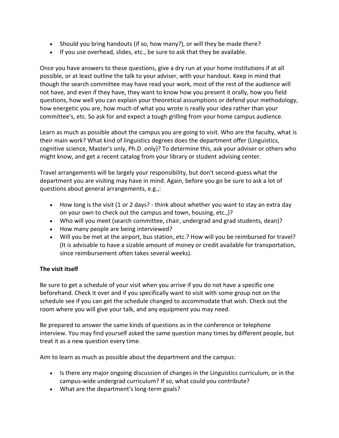- Should you bring handouts (if so, how many?), or will they be made there?
- If you use overhead, slides, etc., be sure to ask that they be available.

Once you have answers to these questions, give a dry run at your home institutions if at all possible, or at least outline the talk to your adviser, with your handout. Keep in mind that though the search committee may have read your work, most of the rest of the audience will not have, and even if they have, they want to know how you present it orally, how you field questions, how well you can explain your theoretical assumptions or defend your methodology, how energetic you are, how much of what you wrote is really your idea rather than your committee's, etc. So ask for and expect a tough grilling from your home campus audience.

Learn as much as possible about the campus you are going to visit. Who are the faculty, what is their main work? What kind of linguistics degrees does the department offer (Linguistics, cognitive science, Master's only, Ph.D. only)? To determine this, ask your adviser or others who might know, and get a recent catalog from your library or student advising center.

Travel arrangements will be largely your responsibility, but don't second-guess what the department you are visiting may have in mind. Again, before you go be sure to ask a lot of questions about general arrangements, e.g.,:

- How long is the visit (1 or 2 days? think about whether you want to stay an extra day on your own to check out the campus and town, housing, etc.,)?
- Who will you meet (search committee, chair, undergrad and grad students, dean)?
- How many people are being interviewed?
- Will you be met at the airport, bus station, etc.? How will you be reimbursed for travel? (It is advisable to have a sizable amount of money or credit available for transportation, since reimbursement often takes several weeks).

### **The visit itself**

Be sure to get a schedule of your visit when you arrive if you do not have a specific one beforehand. Check it over and if you specifically want to visit with some group not on the schedule see if you can get the schedule changed to accommodate that wish. Check out the room where you will give your talk, and any equipment you may need.

Be prepared to answer the same kinds of questions as in the conference or telephone interview. You may find yourself asked the same question many times by different people, but treat it as a new question every time.

Aim to learn as much as possible about the department and the campus:

- Is there any major ongoing discussion of changes in the Linguistics curriculum, or in the campus-wide undergrad curriculum? If so, what could you contribute?
- What are the department's long-term goals?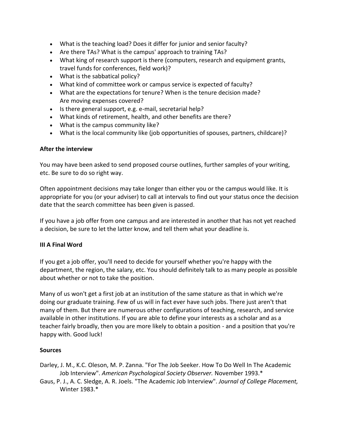- What is the teaching load? Does it differ for junior and senior faculty?
- Are there TAs? What is the campus' approach to training TAs?
- What king of research support is there (computers, research and equipment grants, travel funds for conferences, field work)?
- What is the sabbatical policy?
- What kind of committee work or campus service is expected of faculty?
- What are the expectations for tenure? When is the tenure decision made? Are moving expenses covered?
- Is there general support, e.g. e-mail, secretarial help?
- What kinds of retirement, health, and other benefits are there?
- What is the campus community like?
- What is the local community like (job opportunities of spouses, partners, childcare)?

#### **After the interview**

You may have been asked to send proposed course outlines, further samples of your writing, etc. Be sure to do so right way.

Often appointment decisions may take longer than either you or the campus would like. It is appropriate for you (or your adviser) to call at intervals to find out your status once the decision date that the search committee has been given is passed.

If you have a job offer from one campus and are interested in another that has not yet reached a decision, be sure to let the latter know, and tell them what your deadline is.

#### **III A Final Word**

If you get a job offer, you'll need to decide for yourself whether you're happy with the department, the region, the salary, etc. You should definitely talk to as many people as possible about whether or not to take the position.

Many of us won't get a first job at an institution of the same stature as that in which we're doing our graduate training. Few of us will in fact ever have such jobs. There just aren't that many of them. But there are numerous other configurations of teaching, research, and service available in other institutions. If you are able to define your interests as a scholar and as a teacher fairly broadly, then you are more likely to obtain a position - and a position that you're happy with. Good luck!

#### **Sources**

- Darley, J. M., K.C. Oleson, M. P. Zanna. "For The Job Seeker. How To Do Well In The Academic Job Interview". *American Psychological Society Observer.* November 1993.\*
- Gaus, P. J., A. C. Sledge, A. R. Joels. "The Academic Job Interview". *Journal of College Placement,* Winter 1983.\*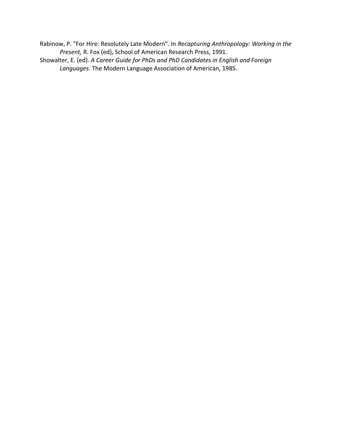Rabinow, P. "For Hire: Resolutely Late Modern". In *Recapturing Anthropology: Working in the Present,* R. Fox (ed), School of American Research Press, 1991.

Showalter, E. (ed). *A Career Guide for PhDs and PhD Candidates in English and Foreign Languages.* The Modern Language Association of American, 1985.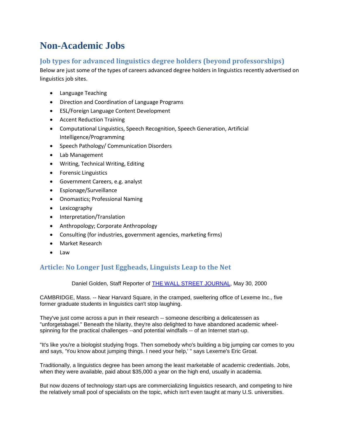# <span id="page-11-0"></span>**Non-Academic Jobs**

# <span id="page-11-1"></span>**Job types for advanced linguistics degree holders (beyond professorships)**

Below are just some of the types of careers advanced degree holders in linguistics recently advertised on linguistics job sites.

- Language Teaching
- Direction and Coordination of Language Programs
- ESL/Foreign Language Content Development
- Accent Reduction Training
- Computational Linguistics, Speech Recognition, Speech Generation, Artificial Intelligence/Programming
- Speech Pathology/ Communication Disorders
- Lab Management
- Writing, Technical Writing, Editing
- Forensic Linguistics
- Government Careers, e.g. analyst
- Espionage/Surveillance
- Onomastics; Professional Naming
- Lexicography
- Interpretation/Translation
- Anthropology; Corporate Anthropology
- Consulting (for industries, government agencies, marketing firms)
- Market Research
- Law

# <span id="page-11-2"></span>**Article: No Longer Just Eggheads, Linguists Leap to the Net**

Daniel Golden, Staff Reporter of [THE WALL STREET JOURNAL,](http://www.wsj.com/) May 30, 2000

CAMBRIDGE, Mass. -- Near Harvard Square, in the cramped, sweltering office of Lexeme Inc., five former graduate students in linguistics can't stop laughing.

They've just come across a pun in their research -- someone describing a delicatessen as "unforgetabagel." Beneath the hilarity, they're also delighted to have abandoned academic wheelspinning for the practical challenges --and potential windfalls -- of an Internet start-up.

"It's like you're a biologist studying frogs. Then somebody who's building a big jumping car comes to you and says, 'You know about jumping things. I need your help,' " says Lexeme's Eric Groat.

Traditionally, a linguistics degree has been among the least marketable of academic credentials. Jobs, when they were available, paid about \$35,000 a year on the high end, usually in academia.

But now dozens of technology start-ups are commercializing linguistics research, and competing to hire the relatively small pool of specialists on the topic, which isn't even taught at many U.S. universities.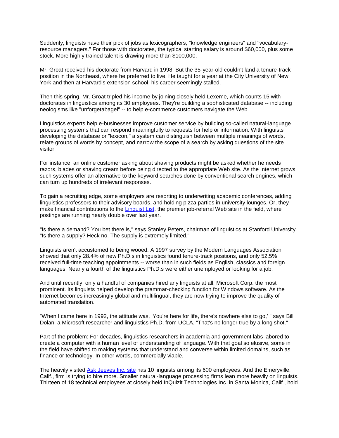Suddenly, linguists have their pick of jobs as lexicographers, "knowledge engineers" and "vocabularyresource managers." For those with doctorates, the typical starting salary is around \$60,000, plus some stock. More highly trained talent is drawing more than \$100,000.

Mr. Groat received his doctorate from Harvard in 1998. But the 35-year-old couldn't land a tenure-track position in the Northeast, where he preferred to live. He taught for a year at the City University of New York and then at Harvard's extension school, his career seemingly stalled.

Then this spring, Mr. Groat tripled his income by joining closely held Lexeme, which counts 15 with doctorates in linguistics among its 30 employees. They're building a sophisticated database -- including neologisms like "unforgetabagel" -- to help e-commerce customers navigate the Web.

Linguistics experts help e-businesses improve customer service by building so-called natural-language processing systems that can respond meaningfully to requests for help or information. With linguists developing the database or "lexicon," a system can distinguish between multiple meanings of words, relate groups of words by concept, and narrow the scope of a search by asking questions of the site visitor.

For instance, an online customer asking about shaving products might be asked whether he needs razors, blades or shaving cream before being directed to the appropriate Web site. As the Internet grows, such systems offer an alternative to the keyword searches done by conventional search engines, which can turn up hundreds of irrelevant responses.

To gain a recruiting edge, some employers are resorting to underwriting academic conferences, adding linguistics professors to their advisory boards, and holding pizza parties in university lounges. Or, they make financial contributions to the [Linguist List,](http://www.linguistlist.org/) the premier job-referral Web site in the field, where postings are running nearly double over last year.

"Is there a demand? You bet there is," says Stanley Peters, chairman of linguistics at Stanford University. "Is there a supply? Heck no. The supply is extremely limited."

Linguists aren't accustomed to being wooed. A 1997 survey by the Modern Languages Association showed that only 28.4% of new Ph.D.s in linguistics found tenure-track positions, and only 52.5% received full-time teaching appointments -- worse than in such fields as English, classics and foreign languages. Nearly a fourth of the linguistics Ph.D.s were either unemployed or looking for a job.

And until recently, only a handful of companies hired any linguists at all, Microsoft Corp. the most prominent. Its linguists helped develop the grammar-checking function for Windows software. As the Internet becomes increasingly global and multilingual, they are now trying to improve the quality of automated translation.

"When I came here in 1992, the attitude was, 'You're here for life, there's nowhere else to go,' " says Bill Dolan, a Microsoft researcher and linguistics Ph.D. from UCLA. "That's no longer true by a long shot."

Part of the problem: For decades, linguistics researchers in academia and government labs labored to create a computer with a human level of understanding of language. With that goal so elusive, some in the field have shifted to making systems that understand and converse within limited domains, such as finance or technology. In other words, commercially viable.

The heavily visited [Ask Jeeves Inc. site](http://www.askjeeves.com/) has 10 linguists among its 600 employees. And the Emeryville, Calif., firm is trying to hire more. Smaller natural-language processing firms lean more heavily on linguists. Thirteen of 18 technical employees at closely held InQuizit Technologies Inc. in Santa Monica, Calif., hold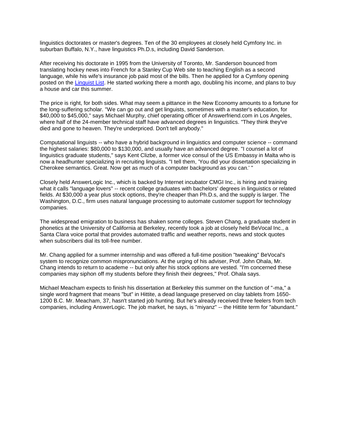linguistics doctorates or master's degrees. Ten of the 30 employees at closely held Cymfony Inc. in suburban Buffalo, N.Y., have linguistics Ph.D.s, including David Sanderson.

After receiving his doctorate in 1995 from the University of Toronto, Mr. Sanderson bounced from translating hockey news into French for a Stanley Cup Web site to teaching English as a second language, while his wife's insurance job paid most of the bills. Then he applied for a Cymfony opening posted on the [Linguist List.](http://www.linguistlist.org/) He started working there a month ago, doubling his income, and plans to buy a house and car this summer.

The price is right, for both sides. What may seem a pittance in the New Economy amounts to a fortune for the long-suffering scholar. "We can go out and get linguists, sometimes with a master's education, for \$40,000 to \$45,000," says Michael Murphy, chief operating officer of Answerfriend.com in Los Angeles, where half of the 24-member technical staff have advanced degrees in linguistics. "They think they've died and gone to heaven. They're underpriced. Don't tell anybody."

Computational linguists -- who have a hybrid background in linguistics and computer science -- command the highest salaries: \$80,000 to \$130,000, and usually have an advanced degree. "I counsel a lot of linguistics graduate students," says Kent Clizbe, a former vice consul of the US Embassy in Malta who is now a headhunter specializing in recruiting linguists. "I tell them, 'You did your dissertation specializing in Cherokee semantics. Great. Now get as much of a computer background as you can.' "

Closely held AnswerLogic Inc., which is backed by Internet incubator CMGI Inc., is hiring and training what it calls "language lovers" -- recent college graduates with bachelors' degrees in linguistics or related fields. At \$30,000 a year plus stock options, they're cheaper than Ph.D.s, and the supply is larger. The Washington, D.C., firm uses natural language processing to automate customer support for technology companies.

The widespread emigration to business has shaken some colleges. Steven Chang, a graduate student in phonetics at the University of California at Berkeley, recently took a job at closely held BeVocal Inc., a Santa Clara voice portal that provides automated traffic and weather reports, news and stock quotes when subscribers dial its toll-free number.

Mr. Chang applied for a summer internship and was offered a full-time position "tweaking" BeVocal's system to recognize common mispronunciations. At the urging of his adviser, Prof. John Ohala, Mr. Chang intends to return to academe -- but only after his stock options are vested. "I'm concerned these companies may siphon off my students before they finish their degrees," Prof. Ohala says.

Michael Meacham expects to finish his dissertation at Berkeley this summer on the function of "-ma," a single word fragment that means "but" in Hittite, a dead language preserved on clay tablets from 1650- 1200 B.C. Mr. Meacham, 37, hasn't started job hunting. But he's already received three feelers from tech companies, including AnswerLogic. The job market, he says, is "miyanz" -- the Hittite term for "abundant."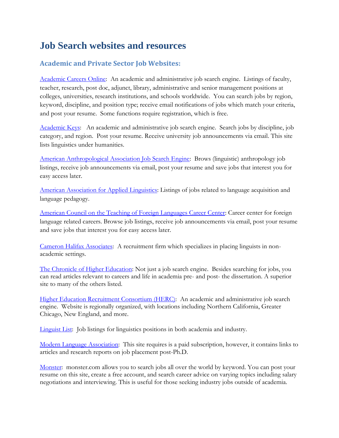# <span id="page-14-0"></span>**Job Search websites and resources**

# <span id="page-14-1"></span>**Academic and Private Sector Job Websites:**

[Academic Careers Online:](http://www.academiccareers.com/) An academic and administrative job search engine. Listings of faculty, teacher, research, post doc, adjunct, library, administrative and senior management positions at colleges, universities, research institutions, and schools worldwide. You can search jobs by region, keyword, discipline, and position type; receive email notifications of jobs which match your criteria, and post your resume. Some functions require registration, which is free.

[Academic Keys:](http://www.academickeys.com/) An academic and administrative job search engine. Search jobs by discipline, job category, and region. Post your resume. Receive university job announcements via email. This site lists linguistics under humanities.

[American Anthropological Association Job Search Engine:](http://www.aaanet.org/careers.htm) Brows (linguistic) anthropology job listings, receive job announcements via email, post your resume and save jobs that interest you for easy access later.

[American Association for Applied Linguistics:](http://www.aaal.org/jobs/) Listings of jobs related to language acquisition and language pedagogy.

[American Council on the Teaching of Foreign Languages Career Center:](http://jobcentral.actfl.org/) Career center for foreign language related careers. Browse job listings, receive job announcements via email, post your resume and save jobs that interest you for easy access later.

[Cameron Halifax Associates:](http://www.cameronhalifax.com/) A recruitment firm which specializes in placing linguists in nonacademic settings.

[The Chronicle of Higher Education:](http://chronicle.com/) Not just a job search engine. Besides searching for jobs, you can read articles relevant to careers and life in academia pre- and post- the dissertation. A superior site to many of the others listed.

[Higher Education Recruitment Consortium \(HERC\):](http://www.hercjobs.org/home/index.cfm?site_id=793) An academic and administrative job search engine. Website is regionally organized, with locations including Northern California, Greater Chicago, New England, and more.

[Linguist List:](http://linguistlist.org/jobs/browse-job-current-rs-6.html) Job listings for linguistics positions in both academia and industry.

[Modern Language Association:](http://www.mla.org/main_jil.htm) This site requires is a paid subscription, however, it contains links to articles and research reports on job placement post-Ph.D.

[Monster:](http://jobsearch.monster.com/) monster.com allows you to search jobs all over the world by keyword. You can post your resume on this site, create a free account, and search career advice on varying topics including salary negotiations and interviewing. This is useful for those seeking industry jobs outside of academia.